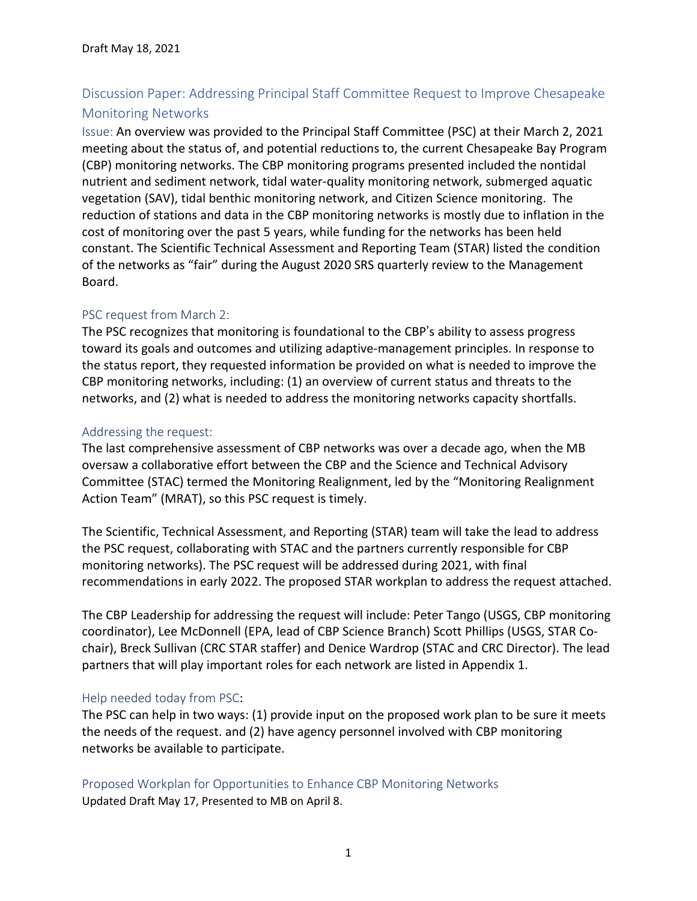# Discussion Paper: Addressing Principal Staff Committee Request to Improve Chesapeake Monitoring Networks

Issue: An overview was provided to the Principal Staff Committee (PSC) at their March 2, 2021 meeting about the status of, and potential reductions to, the current Chesapeake Bay Program (CBP) monitoring networks. The CBP monitoring programs presented included the nontidal nutrient and sediment network, tidal water-quality monitoring network, submerged aquatic vegetation (SAV), tidal benthic monitoring network, and Citizen Science monitoring. The reduction of stations and data in the CBP monitoring networks is mostly due to inflation in the cost of monitoring over the past 5 years, while funding for the networks has been held constant. The Scientific Technical Assessment and Reporting Team (STAR) listed the condition of the networks as "fair" during the August 2020 SRS quarterly review to the Management Board.

#### PSC request from March 2:

The PSC recognizes that monitoring is foundational to the CBP's ability to assess progress toward its goals and outcomes and utilizing adaptive-management principles. In response to the status report, they requested information be provided on what is needed to improve the CBP monitoring networks, including: (1) an overview of current status and threats to the networks, and (2) what is needed to address the monitoring networks capacity shortfalls.

#### Addressing the request:

The last comprehensive assessment of CBP networks was over a decade ago, when the MB oversaw a collaborative effort between the CBP and the Science and Technical Advisory Committee (STAC) termed the Monitoring Realignment, led by the "Monitoring Realignment Action Team" (MRAT), so this PSC request is timely.

The Scientific, Technical Assessment, and Reporting (STAR) team will take the lead to address the PSC request, collaborating with STAC and the partners currently responsible for CBP monitoring networks). The PSC request will be addressed during 2021, with final recommendations in early 2022. The proposed STAR workplan to address the request attached.

The CBP Leadership for addressing the request will include: Peter Tango (USGS, CBP monitoring coordinator), Lee McDonnell (EPA, lead of CBP Science Branch) Scott Phillips (USGS, STAR Cochair), Breck Sullivan (CRC STAR staffer) and Denice Wardrop (STAC and CRC Director). The lead partners that will play important roles for each network are listed in Appendix 1.

#### Help needed today from PSC:

The PSC can help in two ways: (1) provide input on the proposed work plan to be sure it meets the needs of the request. and (2) have agency personnel involved with CBP monitoring networks be available to participate.

#### Proposed Workplan for Opportunities to Enhance CBP Monitoring Networks Updated Draft May 17, Presented to MB on April 8.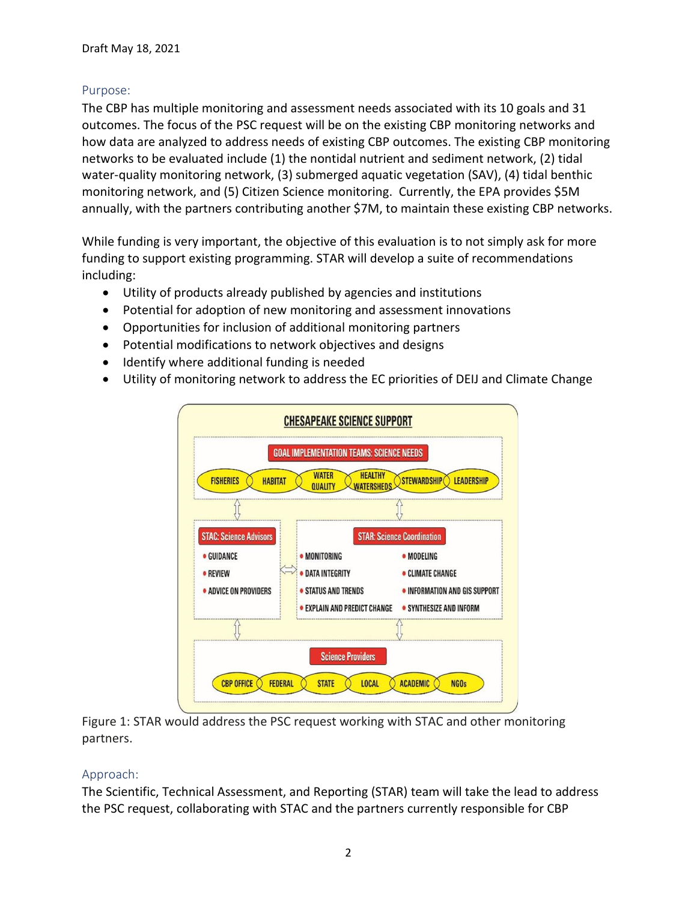## Purpose:

The CBP has multiple monitoring and assessment needs associated with its 10 goals and 31 outcomes. The focus of the PSC request will be on the existing CBP monitoring networks and how data are analyzed to address needs of existing CBP outcomes. The existing CBP monitoring networks to be evaluated include (1) the nontidal nutrient and sediment network, (2) tidal water-quality monitoring network, (3) submerged aquatic vegetation (SAV), (4) tidal benthic monitoring network, and (5) Citizen Science monitoring. Currently, the EPA provides \$5M annually, with the partners contributing another \$7M, to maintain these existing CBP networks.

While funding is very important, the objective of this evaluation is to not simply ask for more funding to support existing programming. STAR will develop a suite of recommendations including:

- Utility of products already published by agencies and institutions
- Potential for adoption of new monitoring and assessment innovations
- Opportunities for inclusion of additional monitoring partners
- Potential modifications to network objectives and designs
- Identify where additional funding is needed
- Utility of monitoring network to address the EC priorities of DEIJ and Climate Change



Figure 1: STAR would address the PSC request working with STAC and other monitoring partners.

## Approach:

The Scientific, Technical Assessment, and Reporting (STAR) team will take the lead to address the PSC request, collaborating with STAC and the partners currently responsible for CBP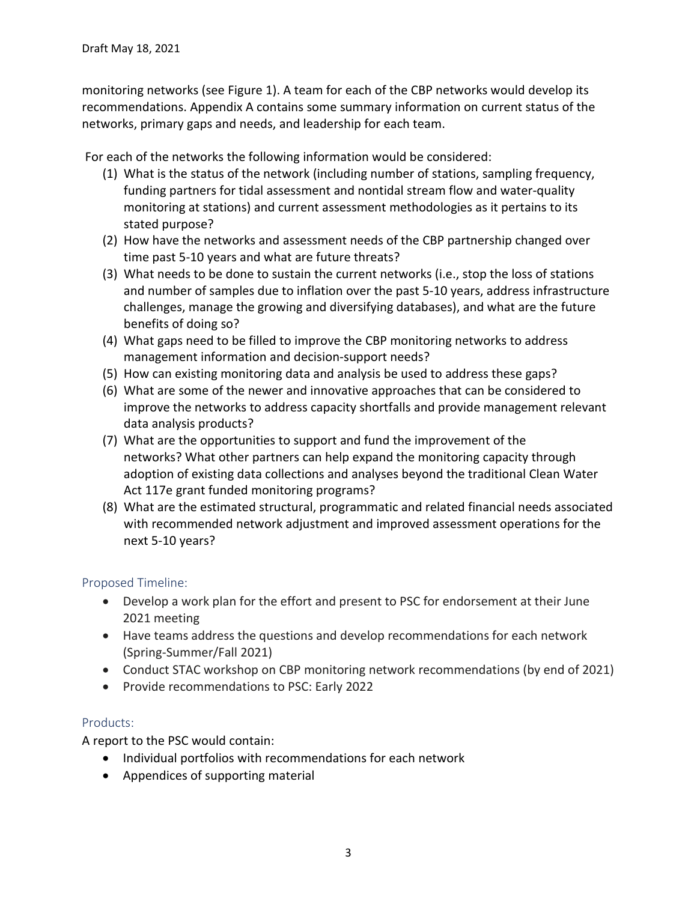monitoring networks (see Figure 1). A team for each of the CBP networks would develop its recommendations. Appendix A contains some summary information on current status of the networks, primary gaps and needs, and leadership for each team.

For each of the networks the following information would be considered:

- (1) What is the status of the network (including number of stations, sampling frequency, funding partners for tidal assessment and nontidal stream flow and water-quality monitoring at stations) and current assessment methodologies as it pertains to its stated purpose?
- (2) How have the networks and assessment needs of the CBP partnership changed over time past 5-10 years and what are future threats?
- (3) What needs to be done to sustain the current networks (i.e., stop the loss of stations and number of samples due to inflation over the past 5-10 years, address infrastructure challenges, manage the growing and diversifying databases), and what are the future benefits of doing so?
- (4) What gaps need to be filled to improve the CBP monitoring networks to address management information and decision-support needs?
- (5) How can existing monitoring data and analysis be used to address these gaps?
- (6) What are some of the newer and innovative approaches that can be considered to improve the networks to address capacity shortfalls and provide management relevant data analysis products?
- (7) What are the opportunities to support and fund the improvement of the networks? What other partners can help expand the monitoring capacity through adoption of existing data collections and analyses beyond the traditional Clean Water Act 117e grant funded monitoring programs?
- (8) What are the estimated structural, programmatic and related financial needs associated with recommended network adjustment and improved assessment operations for the next 5-10 years?

## Proposed Timeline:

- Develop a work plan for the effort and present to PSC for endorsement at their June 2021 meeting
- Have teams address the questions and develop recommendations for each network (Spring-Summer/Fall 2021)
- Conduct STAC workshop on CBP monitoring network recommendations (by end of 2021)
- Provide recommendations to PSC: Early 2022

## Products:

A report to the PSC would contain:

- Individual portfolios with recommendations for each network
- Appendices of supporting material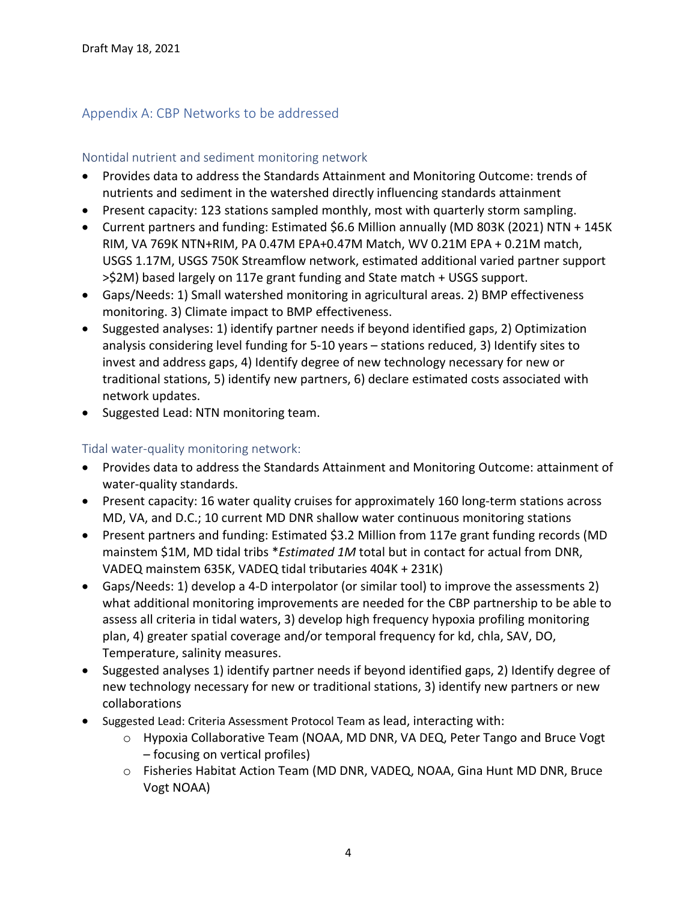## Appendix A: CBP Networks to be addressed

#### Nontidal nutrient and sediment monitoring network

- Provides data to address the Standards Attainment and Monitoring Outcome: trends of nutrients and sediment in the watershed directly influencing standards attainment
- Present capacity: 123 stations sampled monthly, most with quarterly storm sampling.
- Current partners and funding: Estimated \$6.6 Million annually (MD 803K (2021) NTN + 145K RIM, VA 769K NTN+RIM, PA 0.47M EPA+0.47M Match, WV 0.21M EPA + 0.21M match, USGS 1.17M, USGS 750K Streamflow network, estimated additional varied partner support >\$2M) based largely on 117e grant funding and State match + USGS support.
- Gaps/Needs: 1) Small watershed monitoring in agricultural areas. 2) BMP effectiveness monitoring. 3) Climate impact to BMP effectiveness.
- Suggested analyses: 1) identify partner needs if beyond identified gaps, 2) Optimization analysis considering level funding for 5-10 years – stations reduced, 3) Identify sites to invest and address gaps, 4) Identify degree of new technology necessary for new or traditional stations, 5) identify new partners, 6) declare estimated costs associated with network updates.
- Suggested Lead: NTN monitoring team.

#### Tidal water-quality monitoring network:

- Provides data to address the Standards Attainment and Monitoring Outcome: attainment of water-quality standards.
- Present capacity: 16 water quality cruises for approximately 160 long-term stations across MD, VA, and D.C.; 10 current MD DNR shallow water continuous monitoring stations
- Present partners and funding: Estimated \$3.2 Million from 117e grant funding records (MD mainstem \$1M, MD tidal tribs \**Estimated 1M* total but in contact for actual from DNR, VADEQ mainstem 635K, VADEQ tidal tributaries 404K + 231K)
- Gaps/Needs: 1) develop a 4-D interpolator (or similar tool) to improve the assessments 2) what additional monitoring improvements are needed for the CBP partnership to be able to assess all criteria in tidal waters, 3) develop high frequency hypoxia profiling monitoring plan, 4) greater spatial coverage and/or temporal frequency for kd, chla, SAV, DO, Temperature, salinity measures.
- Suggested analyses 1) identify partner needs if beyond identified gaps, 2) Identify degree of new technology necessary for new or traditional stations, 3) identify new partners or new collaborations
- Suggested Lead: Criteria Assessment Protocol Team as lead, interacting with:
	- o Hypoxia Collaborative Team (NOAA, MD DNR, VA DEQ, Peter Tango and Bruce Vogt – focusing on vertical profiles)
	- o Fisheries Habitat Action Team (MD DNR, VADEQ, NOAA, Gina Hunt MD DNR, Bruce Vogt NOAA)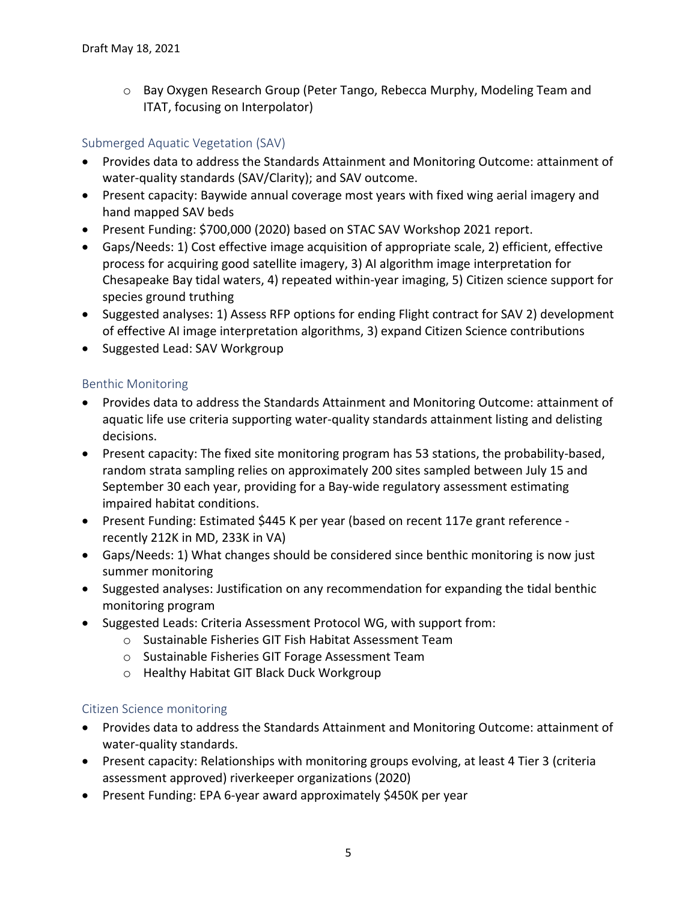o Bay Oxygen Research Group (Peter Tango, Rebecca Murphy, Modeling Team and ITAT, focusing on Interpolator)

# Submerged Aquatic Vegetation (SAV)

- Provides data to address the Standards Attainment and Monitoring Outcome: attainment of water-quality standards (SAV/Clarity); and SAV outcome.
- Present capacity: Baywide annual coverage most years with fixed wing aerial imagery and hand mapped SAV beds
- Present Funding: \$700,000 (2020) based on STAC SAV Workshop 2021 report.
- Gaps/Needs: 1) Cost effective image acquisition of appropriate scale, 2) efficient, effective process for acquiring good satellite imagery, 3) AI algorithm image interpretation for Chesapeake Bay tidal waters, 4) repeated within-year imaging, 5) Citizen science support for species ground truthing
- Suggested analyses: 1) Assess RFP options for ending Flight contract for SAV 2) development of effective AI image interpretation algorithms, 3) expand Citizen Science contributions
- Suggested Lead: SAV Workgroup

## Benthic Monitoring

- Provides data to address the Standards Attainment and Monitoring Outcome: attainment of aquatic life use criteria supporting water-quality standards attainment listing and delisting decisions.
- Present capacity: The fixed site monitoring program has 53 stations, the probability-based, random strata sampling relies on approximately 200 sites sampled between July 15 and September 30 each year, providing for a Bay-wide regulatory assessment estimating impaired habitat conditions.
- Present Funding: Estimated \$445 K per year (based on recent 117e grant reference recently 212K in MD, 233K in VA)
- Gaps/Needs: 1) What changes should be considered since benthic monitoring is now just summer monitoring
- Suggested analyses: Justification on any recommendation for expanding the tidal benthic monitoring program
- Suggested Leads: Criteria Assessment Protocol WG, with support from:
	- o Sustainable Fisheries GIT Fish Habitat Assessment Team
	- o Sustainable Fisheries GIT Forage Assessment Team
	- o Healthy Habitat GIT Black Duck Workgroup

## Citizen Science monitoring

- Provides data to address the Standards Attainment and Monitoring Outcome: attainment of water-quality standards.
- Present capacity: Relationships with monitoring groups evolving, at least 4 Tier 3 (criteria assessment approved) riverkeeper organizations (2020)
- Present Funding: EPA 6-year award approximately \$450K per year